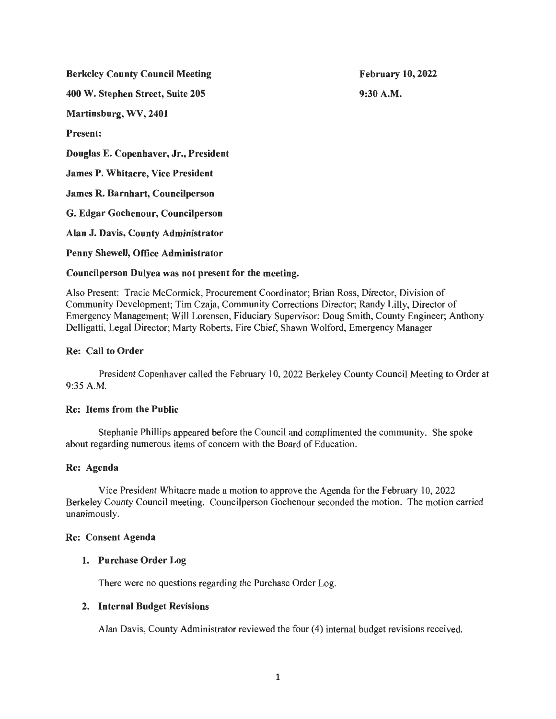Berkeley County Council Meeting

400 W. Stephen Street, Suite 205

Martinsburg, WV, 2401

Present:

Douglas E. Copenhaver, Jr., President

James P. Whitacre, Vice President

James R. Barnhart, Councilperson

G. Edgar Gochenour, Councilperson

Alan J. Davis, County Administrator

Penny Shewell, Office Administrator

# Councilperson Dulyea was not present for the meeting.

Also Present: Tracie McCormick, Procurement Coordinator; Brian Ross, Director, Division of Community Development; Tim Czaja, Community Corrections Director; Randy Lilly, Director of Emergency Management; Will Lorensen, Fiduciary Supervisor; Doug Smith, County Engineer; Anthony Delligatti, Legal Director; Marty Roberts, Fire Chief, Shawn Wolford, Emergency Manager

# Re: Call to Order

President Copenhaver called the February 10, 2022 Berkeley County Council Meeting to Order at 9:35 A.M.

## Re: Items from the Public

Stephanie Phillips appeared before the Council and complimented the community. She spoke about regarding numerous items of concern with the Board of Education .

## Re: Agenda

Vice President Whitacre made a motion to approve the Agenda for the February I 0, 2022 Berkeley County Council meeting. Councilperson Gochenour seconded the motion. The motion carried unanimously.

## Re: Consent Agenda

## 1. Purchase Order Log

There were no questions regarding the Purchase Order Log.

## 2. Internal Budget Revisions

Alan Davis, County Administrator reviewed the four (4) internal budget revisions received.

February 10, 2022 9:30A.M.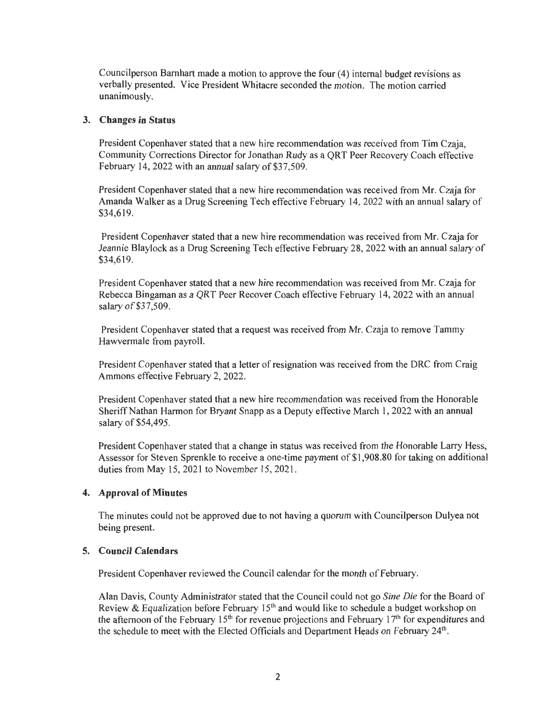Councilperson Barnhart made a motion to approve the four (4) internal budget revisions as verbally presented. Vice President Whitacre seconded the motion. The motion carried unanimously.

## **3. Changes in Status**

President Copenhaver stated that a new hire recommendation was received from Tim Czaja, Community Corrections Director for Jonathan Rudy as a QRT Peer Recovery Coach effective February 14, 2022 with an annual salary of \$37,509.

President Copenhaver stated that a new hire recommendation was received from Mr. Czaja for Amanda Walker as a Drug Screening Tech effective February 14, 2022 with an annual salary of \$34,619.

President Copenhaver stated that a new hire recommendation was received from Mr. Czaja for Jeannie Blaylock as a Drug Screening Tech effective February 28, 2022 with an annual salary of \$34,619.

President Copenhaver stated that a new hire recommendation was received from Mr. Czaja for Rebecca Bingaman as a QRT Peer Recover Coach effective February 14, 2022 with an annual salary of \$37,509.

President Copenhaver stated that a request was received from Mr. Czaja to remove Tammy Hawvermale from payroll.

President Copenhaver stated that a letter of resignation was received from the DRC from Craig Ammons effective February 2, 2022.

President Copenhaver stated that a new hire recommendation was received from the Honorable Sheriff Nathan Harmon for Bryant Snapp as a Deputy effective March 1, 2022 with an annual salary of \$54,495.

President Copenhaver stated that a change in status was received from the Honorable Larry Hess, Assessor for Steven Sprenkle to receive a one-time payment of \$1 ,908.80 for taking on additional duties from May 15, 2021 to November 15, 2021.

#### **4. Approval of Minutes**

The minutes could not be approved due to not having a quorum with Councilperson Dulyea not being present.

#### **5. Council Calendars**

President Copenhaver reviewed the Council calendar for the month of February.

Alan Davis, County Administrator stated that the Council could not go *Sine Die* for the Board of Review & Equalization before February 15<sup>th</sup> and would like to schedule a budget workshop on the afternoon of the February  $15<sup>th</sup>$  for revenue projections and February  $17<sup>th</sup>$  for expenditures and the schedule to meet with the Elected Officials and Department Heads on February 24<sup>th</sup>.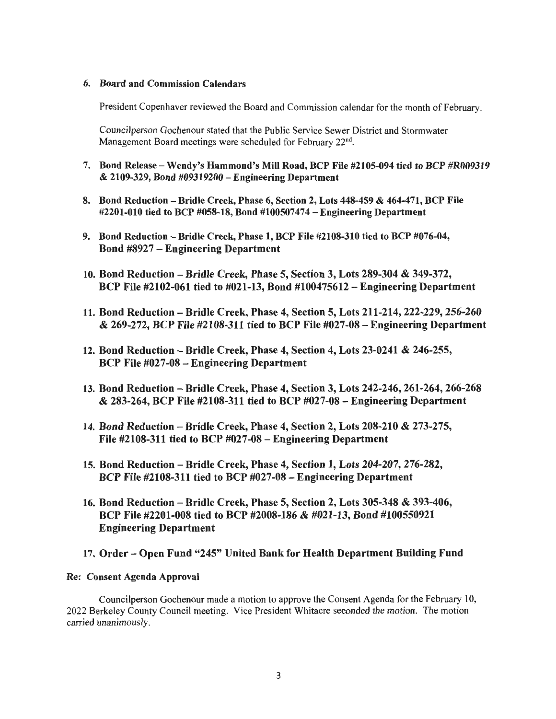### 6. Board and Commission Calendars

President Copenhaver reviewed the Board and Commission calendar for the month of February.

Councilperson Gochenour stated that the Public Service Sewer District and Stormwater Management Board meetings were scheduled for February  $22<sup>nd</sup>$ .

- 7. Bond Release- Wendy's Hammond's Mill Road, BCP File #2105-094 tied to BCP #R009319 & 2109-329, Bond #09319200-Engineering Department
- 8. Bond Reduction Bridle Creek, Phase 6, Section 2, Lots 448-459 & 464-471, BCP File #2201-010 tied to BCP #058-18, Bond #100507474-Engineering Department
- 9. Bond Reduction Bridle Creek, Phase 1, BCP File #2108-310 tied to BCP #076-04, Bond #8927 - Engineering Department
- 10. Bond Reduction Bridle Creek, Phase 5, Section 3, Lots 289-304 & 349-372, BCP File #2102-061 tied to #021-13, Bond #100475612 - Engineering Department
- 11. Bond Reduction -Bridle Creek, Phase 4, Section 5, Lots 211-214, 222-229, 256-260 & 269-272, BCP File #2108-311 tied to BCP File #027-08 - Engineering Department
- 12. Bond Reduction -Bridle Creek, Phase 4, Section 4, Lots 23-0241 & 246-255, BCP File #027-08 - Engineering Department
- 13. Bond Reduction Bridle Creek, Phase 4, Section 3, Lots 242-246, 261-264, 266-268 & 283-264, BCP File #2108-311 tied to BCP #027-08 - Engineering Department
- 14. Bond Reduction Bridle Creek, Phase 4, Section 2, Lots 208-210 & 273-275, File #2108-311 tied to BCP #027-08 - Engineering Department
- 15. Bond Reduction Bridle Creek, Phase 4, Section 1, Lots 204-207, 276-282, BCP File #2108-311 tied to BCP #027-08 -Engineering Department
- 16. Bond Reduction Bridle Creek, Phase 5, Section 2, Lots 305-348 & 393-406, BCP File #2201-008 tied to BCP #2008-186 & #021-13, Bond #100550921 Engineering Department

## 17. Order - Open Fund "245" United Bank for Health Department Building Fund

#### Re: Consent Agenda Approval

Councilperson Gochenour made a motion to approve the Consent Agenda for the February 10, 2022 Berkeley County Council meeting. Vice President Whitacre seconded the motion. The motion carried unanimously.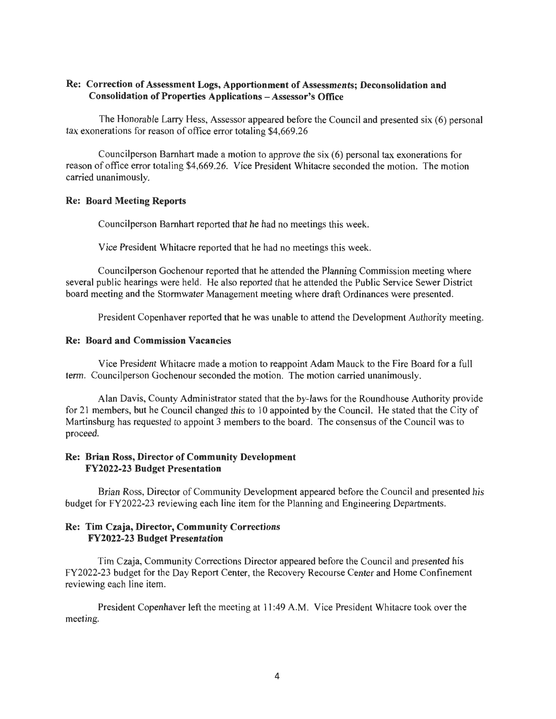## Re: Correction of Assessment Logs, Apportionment of Assessments; Deconsolidation and Consolidation of Properties Applications - Assessor's Office

The Honorable Larry Hess, Assessor appeared before the Council and presented six (6) personal tax exonerations for reason of office error totaling \$4,669.26

Councilperson Barnhart made a motion to approve the six (6) personal tax exonerations for reason of office error totaling \$4,669.26. Vice President Whitacre seconded the motion. The motion carried unanimously.

#### Re: Board Meeting Reports

Councilperson Barnhart reported that he had no meetings this week.

Vice President Whitacre reported that he had no meetings this week.

Councilperson Gochenour reported that he attended the Planning Commission meeting where several public hearings were held. He also reported that he attended the Public Service Sewer District board meeting and the Stormwater Management meeting where draft Ordinances were presented.

President Copenhaver reported that he was unable to attend the Development Authority meeting.

#### Re: Board and Commission Vacancies

Vice President Whitacre made a motion to reappoint Adam Mauck to the Fire Board for a full term. Councilperson Gochenour seconded the motion. The motion carried unanimously.

Alan Davis, County Administrator stated that the by-laws for the Roundhouse Authority provide for 21 members, but he Council changed this to 10 appointed by the Council. He stated that the City of Martinsburg has requested to appoint 3 members to the board. The consensus of the Council was to proceed.

## Re: Brian Ross, Director of Community Development FY2022-23 Budget Presentation

Brian Ross, Director of Community Development appeared before the Council and presented his budget for FY2022-23 reviewing each line item for the Planning and Engineering Departments.

### Re: Tim Czaja, Director, Community Corrections FY2022-23 Budget Presentation

Tim Czaja, Community Corrections Director appeared before the Council and presented his FY2022-23 budget for the Day Report Center, the Recovery Recourse Center and Home Confinement reviewing each line item.

President Copenhaver left the meeting at 11 :49 A.M. Vice President Whitacre took over the meeting.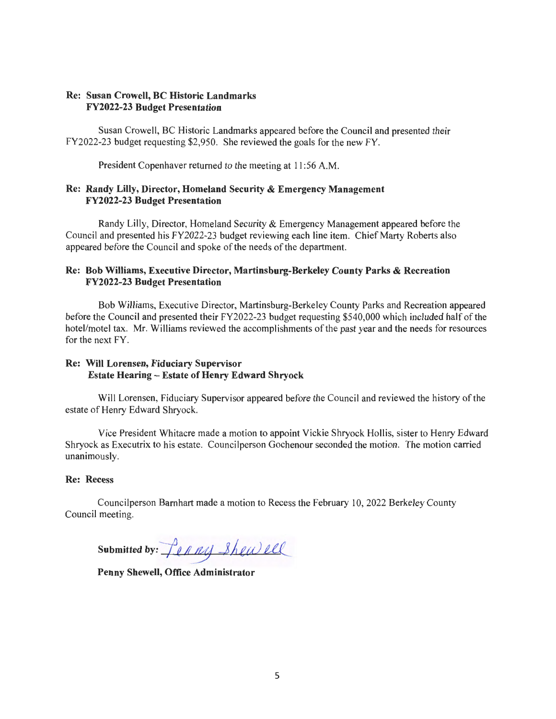## Re: Susan Crowell, BC Historic Landmarks FY2022-23 Budget Presentation

Susan Crowell, BC Historic Landmarks appeared before the Council and presented their FY2022-23 budget requesting \$2,950. She reviewed the goals for the new FY.

President Copenhaver returned to the meeting at 11:56 A.M.

## Re: Randy Lilly, Director, Homeland Security & Emergency Management FY2022-23 Budget Presentation

Randy Lilly, Director, Homeland Security & Emergency Management appeared before the Council and presented his FY2022-23 budget reviewing each line item. Chief Marty Roberts also appeared before the Council and spoke of the needs of the department.

## Re: Bob Williams, Executive Director, Martinsburg-Berkeley County Parks & Recreation FY2022-23 Budget Presentation

Bob Williams, Executive Director, Martinsburg-Berkeley County Parks and Recreation appeared before the Council and presented their FY2022-23 budget requesting \$540,000 which included half of the hotel/motel tax. Mr. Williams reviewed the accomplishments of the past year and the needs for resources for the next FY.

# Re: Will Lorensen, Fiduciary Supervisor Estate Hearing - Estate of Henry Edward Shryock

Will Lorensen, Fiduciary Supervisor appeared before the Council and reviewed the history of the estate of Henry Edward Shryock.

Vice President Whitacre made a motion to appoint Vickie Shryock Hollis, sister to Henry Edward Shryock as Executrix to his estate. Councilperson Gochenour seconded the motion. The motion carried unanimously.

## Re: Recess

Councilperson Barnhart made a motion to Recess the February 10, 2022 Berkeley County Council meeting.

submitted by:  $\int_{ell} \rho \rho \rho y 3h \rho \omega \rho \rho$ 

Penny Shewell, Office Administrator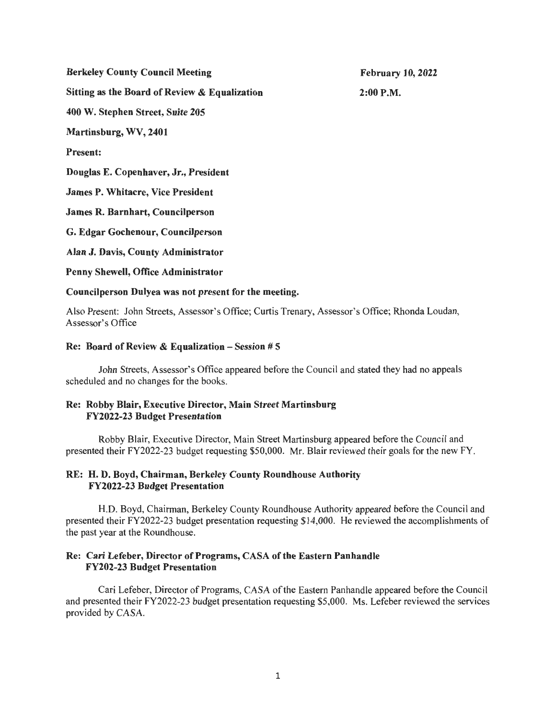Berkeley County Council Meeting Sitting as the Board of Review & Equalization 400 W. Stephen Street, Suite 205 Martinsburg, WV, 2401 Present: Douglas E. Copenhaver, Jr., President James P. Whitacre, Vice President James R. Barnhart, Councilperson G. Edgar Gochenour, Councilperson Alan J. Davis, County Administrator Penny Shewell, Office Administrator Councilperson Dulyea was not present for the meeting.

Also Present: John Streets, Assessor's Office; Curtis Trenary, Assessor's Office; Rhonda Loudan, Assessor's Office

#### Re: Board of Review & Equalization  $-$  Session # 5

John Streets, Assessor's Office appeared before the Council and stated they had no appeals scheduled and no changes for the books.

### Re: Robby Blair, Executive Director, Main Street Martinsburg FY2022-23 Budget Presentation

Robby Blair, Executive Director, Main Street Martinsburg appeared before the Council and presented their FY2022-23 budget requesting \$50,000. Mr. Blair reviewed their goals for the new FY.

## RE: H. D. Boyd, Chairman, Berkeley County Roundhouse Authority FY2022-23 Budget Presentation

H.D. Boyd, Chairman, Berkeley County Roundhouse Authority appeared before the Council and presented their FY2022-23 budget presentation requesting \$14,000. He reviewed the accomplishments of the past year at the Roundhouse.

#### Re: Cari Lefeber, Director of Programs, CASA of the Eastern Panhandle FY202-23 Budget Presentation

Cari Lefeber, Director of Programs, CASA of the Eastern Panhandle appeared before the Council and presented their FY2022-23 budget presentation requesting \$5,000. Ms. Lefeber reviewed the services provided by CASA.

February 10, 2022 2:00P.M.